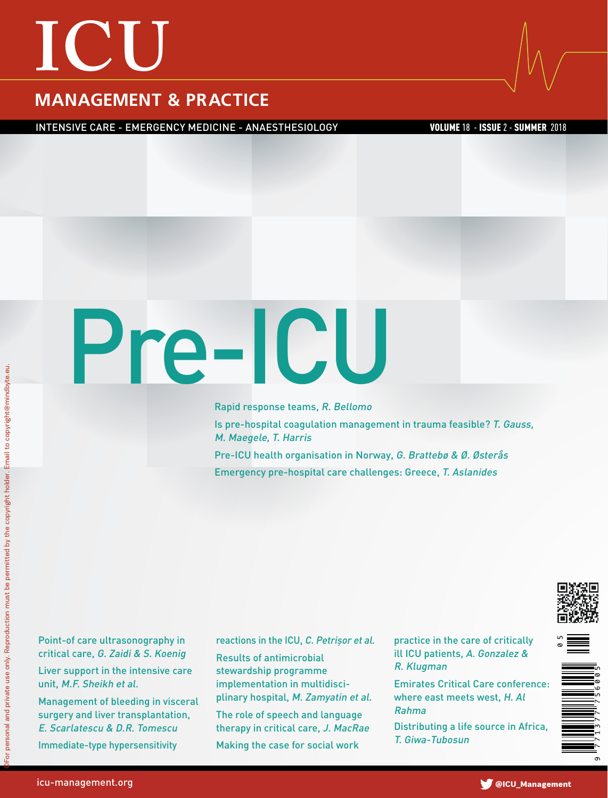## **ICU**

#### **MANAGEMENT & PRACTICE**

INTENSIVE CARE - EMERGENCY MEDICINE - ANAESTHESIOLOGY VOLUME 18 - ISSUE 2 - SUMMER 2018

# Pre-I C U

Rapid response teams, R. Bellomo Is pre-hospital coagulation management in trauma feasible? T. Gauss, M. Maegele, T. Harris Pre-ICU health organisation in Norway, G. Brattebø & Ø. Østerås Emergency pre-hospital care challenges: Greece, T. Aslanides

Point-of care ultrasonography in critical care, G. Zaidi & S. Koenig Liver support in the intensive care unit, M.F. Sheikh et al.

Management of bleeding in visceral surgery and liver transplantation, E. Scarlatescu & D.R. Tomescu Immediate-type hypersensitivity

reactions in the ICU, C. Petrișor et al.

Results of antimicrobial stewardship programme implementation in multidisciplinary hospital, M. Zamyatin et al.

The role of speech and language therapy in critical care, J. MacRae Making the case for social work

practice in the care of critically ill ICU patients, A. Gonzalez & R. Klugman

Emirates Critical Care conference: where east meets west, H. Al Rahma

Distributing a life source in Africa, T. Giwa-Tubosun



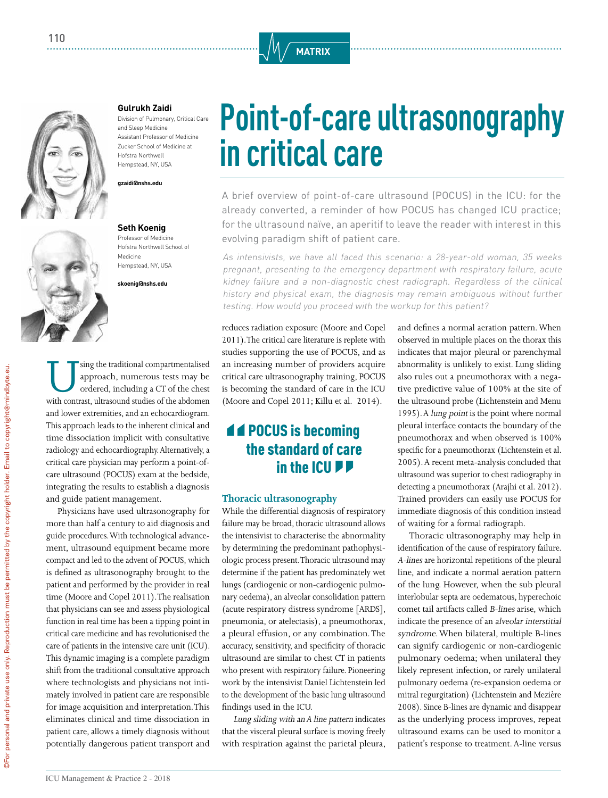



#### **Gulrukh Zaidi**

Division of Pulmonary, Critical Care and Sleep Medicine Assistant Professor of Medicine Zucker School of Medicine at Hofstra Northwell Hempstead, NY, USA

**gzaidi@nshs.edu** 

#### **Seth Koenig**

Professor of Medicine Hofstra Northwell School of Medicine Hempstead, NY, USA

**skoenig@nshs.edu** 

Using the traditional compartmentalised approach, numerous tests may be ordered, including a CT of the chest with contrast, ultrasound studies of the abdomen approach, numerous tests may be ordered, including a CT of the chest and lower extremities, and an echocardiogram. This approach leads to the inherent clinical and time dissociation implicit with consultative radiology and echocardiography. Alternatively, a critical care physician may perform a point-ofcare ultrasound (POCUS) exam at the bedside, integrating the results to establish a diagnosis and guide patient management.

Physicians have used ultrasonography for more than half a century to aid diagnosis and guide procedures. With technological advancement, ultrasound equipment became more compact and led to the advent of POCUS, which is defined as ultrasonography brought to the patient and performed by the provider in real time (Moore and Copel 2011). The realisation that physicians can see and assess physiological function in real time has been a tipping point in critical care medicine and has revolutionised the care of patients in the intensive care unit (ICU). This dynamic imaging is a complete paradigm shift from the traditional consultative approach where technologists and physicians not intimately involved in patient care are responsible for image acquisition and interpretation. This eliminates clinical and time dissociation in patient care, allows a timely diagnosis without potentially dangerous patient transport and

### **Point-of-care ultrasonography in critical care**

A brief overview of point-of-care ultrasound (POCUS) in the ICU: for the already converted, a reminder of how POCUS has changed ICU practice; for the ultrasound naïve, an aperitif to leave the reader with interest in this evolving paradigm shift of patient care.

As intensivists, we have all faced this scenario: a 28-year-old woman, 35 weeks pregnant, presenting to the emergency department with respiratory failure, acute kidney failure and a non-diagnostic chest radiograph. Regardless of the clinical history and physical exam, the diagnosis may remain ambiguous without further testing. How would you proceed with the workup for this patient?

reduces radiation exposure (Moore and Copel 2011). The critical care literature is replete with studies supporting the use of POCUS, and as an increasing number of providers acquire critical care ultrasonography training, POCUS is becoming the standard of care in the ICU (Moore and Copel 2011; Killu et al. 2014).

#### **44 POCUS is becoming** the standard of care in the ICU<sub>PP</sub>

#### **Thoracic ultrasonography**

While the differential diagnosis of respiratory failure may be broad, thoracic ultrasound allows the intensivist to characterise the abnormality by determining the predominant pathophysiologic process present. Thoracic ultrasound may determine if the patient has predominately wet lungs (cardiogenic or non-cardiogenic pulmonary oedema), an alveolar consolidation pattern (acute respiratory distress syndrome [ARDS], pneumonia, or atelectasis), a pneumothorax, a pleural effusion, or any combination. The accuracy, sensitivity, and specificity of thoracic ultrasound are similar to chest CT in patients who present with respiratory failure. Pioneering work by the intensivist Daniel Lichtenstein led to the development of the basic lung ultrasound findings used in the ICU.

Lung sliding with an A line pattern indicates that the visceral pleural surface is moving freely with respiration against the parietal pleura,

and defines a normal aeration pattern. When observed in multiple places on the thorax this indicates that major pleural or parenchymal abnormality is unlikely to exist. Lung sliding also rules out a pneumothorax with a negative predictive value of 100% at the site of the ultrasound probe (Lichtenstein and Menu 1995). A lung point is the point where normal pleural interface contacts the boundary of the pneumothorax and when observed is 100% specific for a pneumothorax (Lichtenstein et al. 2005). A recent meta-analysis concluded that ultrasound was superior to chest radiography in detecting a pneumothorax (Arajhi et al. 2012). Trained providers can easily use POCUS for immediate diagnosis of this condition instead of waiting for a formal radiograph.

Thoracic ultrasonography may help in identification of the cause of respiratory failure. A-lines are horizontal repetitions of the pleural line, and indicate a normal aeration pattern of the lung. However, when the sub pleural interlobular septa are oedematous, hyperechoic comet tail artifacts called B-lines arise, which indicate the presence of an alveolar interstitial syndrome. When bilateral, multiple B-lines can signify cardiogenic or non-cardiogenic pulmonary oedema; when unilateral they likely represent infection, or rarely unilateral pulmonary oedema (re-expansion oedema or mitral regurgitation) (Lichtenstein and Mezière 2008). Since B-lines are dynamic and disappear as the underlying process improves, repeat ultrasound exams can be used to monitor a patient's response to treatment. A-line versus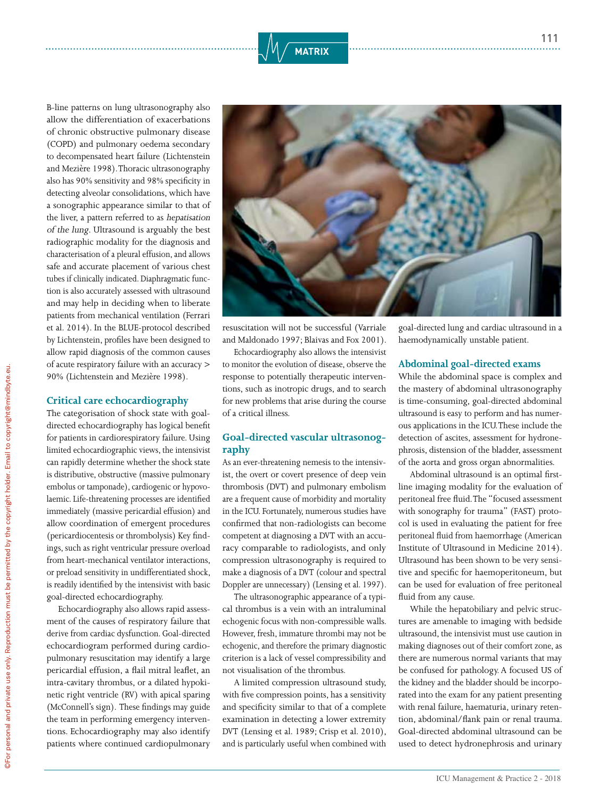

B-line patterns on lung ultrasonography also allow the differentiation of exacerbations of chronic obstructive pulmonary disease (COPD) and pulmonary oedema secondary to decompensated heart failure (Lichtenstein and Mezière 1998). Thoracic ultrasonography also has 90% sensitivity and 98% specificity in detecting alveolar consolidations, which have a sonographic appearance similar to that of the liver, a pattern referred to as hepatisation of the lung. Ultrasound is arguably the best radiographic modality for the diagnosis and characterisation of a pleural effusion, and allows safe and accurate placement of various chest tubes if clinically indicated. Diaphragmatic function is also accurately assessed with ultrasound and may help in deciding when to liberate patients from mechanical ventilation (Ferrari et al. 2014). In the BLUE-protocol described by Lichtenstein, profiles have been designed to allow rapid diagnosis of the common causes of acute respiratory failure with an accuracy > 90% (Lichtenstein and Mezière 1998).

#### **Critical care echocardiography**

The categorisation of shock state with goaldirected echocardiography has logical benefit for patients in cardiorespiratory failure. Using limited echocardiographic views, the intensivist can rapidly determine whether the shock state is distributive, obstructive (massive pulmonary embolus or tamponade), cardiogenic or hypovolaemic. Life-threatening processes are identified immediately (massive pericardial effusion) and allow coordination of emergent procedures (pericardiocentesis or thrombolysis) Key findings, such as right ventricular pressure overload from heart-mechanical ventilator interactions, or preload sensitivity in undifferentiated shock, is readily identified by the intensivist with basic goal-directed echocardiography.

Echocardiography also allows rapid assessment of the causes of respiratory failure that derive from cardiac dysfunction. Goal-directed echocardiogram performed during cardiopulmonary resuscitation may identify a large pericardial effusion, a flail mitral leaflet, an intra-cavitary thrombus, or a dilated hypokinetic right ventricle (RV) with apical sparing (McConnell's sign). These findings may guide the team in performing emergency interventions. Echocardiography may also identify patients where continued cardiopulmonary



resuscitation will not be successful (Varriale and Maldonado 1997; Blaivas and Fox 2001).

Echocardiography also allows the intensivist to monitor the evolution of disease, observe the response to potentially therapeutic interventions, such as inotropic drugs, and to search for new problems that arise during the course of a critical illness.

#### **Goal-directed vascular ultrasonography**

As an ever-threatening nemesis to the intensivist, the overt or covert presence of deep vein thrombosis (DVT) and pulmonary embolism are a frequent cause of morbidity and mortality in the ICU. Fortunately, numerous studies have confirmed that non-radiologists can become competent at diagnosing a DVT with an accuracy comparable to radiologists, and only compression ultrasonography is required to make a diagnosis of a DVT (colour and spectral Doppler are unnecessary) (Lensing et al. 1997).

The ultrasonographic appearance of a typical thrombus is a vein with an intraluminal echogenic focus with non-compressible walls. However, fresh, immature thrombi may not be echogenic, and therefore the primary diagnostic criterion is a lack of vessel compressibility and not visualisation of the thrombus.

A limited compression ultrasound study, with five compression points, has a sensitivity and specificity similar to that of a complete examination in detecting a lower extremity DVT (Lensing et al. 1989; Crisp et al. 2010), and is particularly useful when combined with

goal-directed lung and cardiac ultrasound in a haemodynamically unstable patient.

#### **Abdominal goal-directed exams**

While the abdominal space is complex and the mastery of abdominal ultrasonography is time-consuming, goal-directed abdominal ultrasound is easy to perform and has numerous applications in the ICU. These include the detection of ascites, assessment for hydronephrosis, distension of the bladder, assessment of the aorta and gross organ abnormalities.

Abdominal ultrasound is an optimal firstline imaging modality for the evaluation of peritoneal free fluid. The "focused assessment with sonography for trauma" (FAST) protocol is used in evaluating the patient for free peritoneal fluid from haemorrhage (American Institute of Ultrasound in Medicine 2014). Ultrasound has been shown to be very sensitive and specific for haemoperitoneum, but can be used for evaluation of free peritoneal fluid from any cause.

While the hepatobiliary and pelvic structures are amenable to imaging with bedside ultrasound, the intensivist must use caution in making diagnoses out of their comfort zone, as there are numerous normal variants that may be confused for pathology. A focused US of the kidney and the bladder should be incorporated into the exam for any patient presenting with renal failure, haematuria, urinary retention, abdominal/flank pain or renal trauma. Goal-directed abdominal ultrasound can be used to detect hydronephrosis and urinary